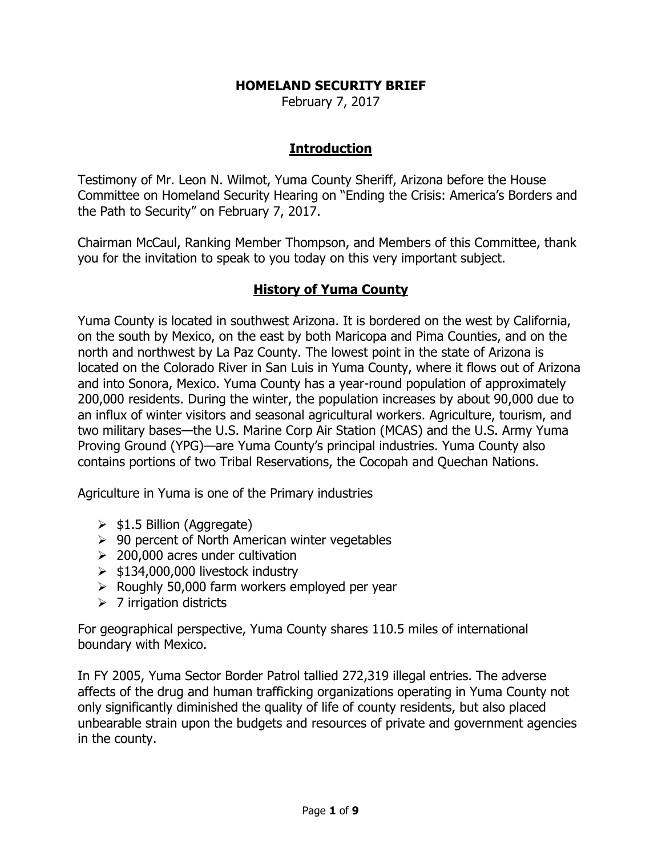#### HOMELAND SECURITY BRIEF

February 7, 2017

#### Introduction

Testimony of Mr. Leon N. Wilmot, Yuma County Sheriff, Arizona before the House Committee on Homeland Security Hearing on "Ending the Crisis: America's Borders and the Path to Security" on February 7, 2017.

Chairman McCaul, Ranking Member Thompson, and Members of this Committee, thank you for the invitation to speak to you today on this very important subject.

#### History of Yuma County

Yuma County is located in southwest Arizona. It is bordered on the west by California, on the south by Mexico, on the east by both Maricopa and Pima Counties, and on the north and northwest by La Paz County. The lowest point in the state of Arizona is located on the Colorado River in San Luis in Yuma County, where it flows out of Arizona and into Sonora, Mexico. Yuma County has a year-round population of approximately 200,000 residents. During the winter, the population increases by about 90,000 due to an influx of winter visitors and seasonal agricultural workers. Agriculture, tourism, and two military bases—the U.S. Marine Corp Air Station (MCAS) and the U.S. Army Yuma Proving Ground (YPG)—are Yuma County's principal industries. Yuma County also contains portions of two Tribal Reservations, the Cocopah and Quechan Nations.

Agriculture in Yuma is one of the Primary industries

- $\ge$  \$1.5 Billion (Aggregate)
- $\geq 90$  percent of North American winter vegetables
- $\geq$  200,000 acres under cultivation
- $\geq$  \$134,000,000 livestock industry
- $\triangleright$  Roughly 50,000 farm workers employed per year
- $\geq 7$  irrigation districts

For geographical perspective, Yuma County shares 110.5 miles of international boundary with Mexico.

In FY 2005, Yuma Sector Border Patrol tallied 272,319 illegal entries. The adverse affects of the drug and human trafficking organizations operating in Yuma County not only significantly diminished the quality of life of county residents, but also placed unbearable strain upon the budgets and resources of private and government agencies in the county.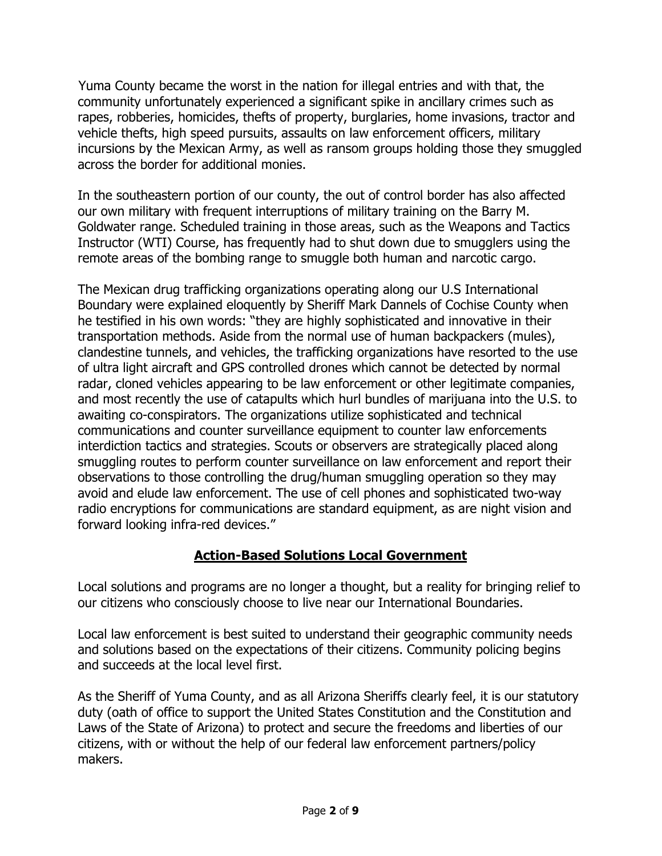Yuma County became the worst in the nation for illegal entries and with that, the community unfortunately experienced a significant spike in ancillary crimes such as rapes, robberies, homicides, thefts of property, burglaries, home invasions, tractor and vehicle thefts, high speed pursuits, assaults on law enforcement officers, military incursions by the Mexican Army, as well as ransom groups holding those they smuggled across the border for additional monies.

In the southeastern portion of our county, the out of control border has also affected our own military with frequent interruptions of military training on the Barry M. Goldwater range. Scheduled training in those areas, such as the Weapons and Tactics Instructor (WTI) Course, has frequently had to shut down due to smugglers using the remote areas of the bombing range to smuggle both human and narcotic cargo.

The Mexican drug trafficking organizations operating along our U.S International Boundary were explained eloquently by Sheriff Mark Dannels of Cochise County when he testified in his own words: "they are highly sophisticated and innovative in their transportation methods. Aside from the normal use of human backpackers (mules), clandestine tunnels, and vehicles, the trafficking organizations have resorted to the use of ultra light aircraft and GPS controlled drones which cannot be detected by normal radar, cloned vehicles appearing to be law enforcement or other legitimate companies, and most recently the use of catapults which hurl bundles of marijuana into the U.S. to awaiting co-conspirators. The organizations utilize sophisticated and technical communications and counter surveillance equipment to counter law enforcements interdiction tactics and strategies. Scouts or observers are strategically placed along smuggling routes to perform counter surveillance on law enforcement and report their observations to those controlling the drug/human smuggling operation so they may avoid and elude law enforcement. The use of cell phones and sophisticated two-way radio encryptions for communications are standard equipment, as are night vision and forward looking infra-red devices."

# Action-Based Solutions Local Government

Local solutions and programs are no longer a thought, but a reality for bringing relief to our citizens who consciously choose to live near our International Boundaries.

Local law enforcement is best suited to understand their geographic community needs and solutions based on the expectations of their citizens. Community policing begins and succeeds at the local level first.

As the Sheriff of Yuma County, and as all Arizona Sheriffs clearly feel, it is our statutory duty (oath of office to support the United States Constitution and the Constitution and Laws of the State of Arizona) to protect and secure the freedoms and liberties of our citizens, with or without the help of our federal law enforcement partners/policy makers.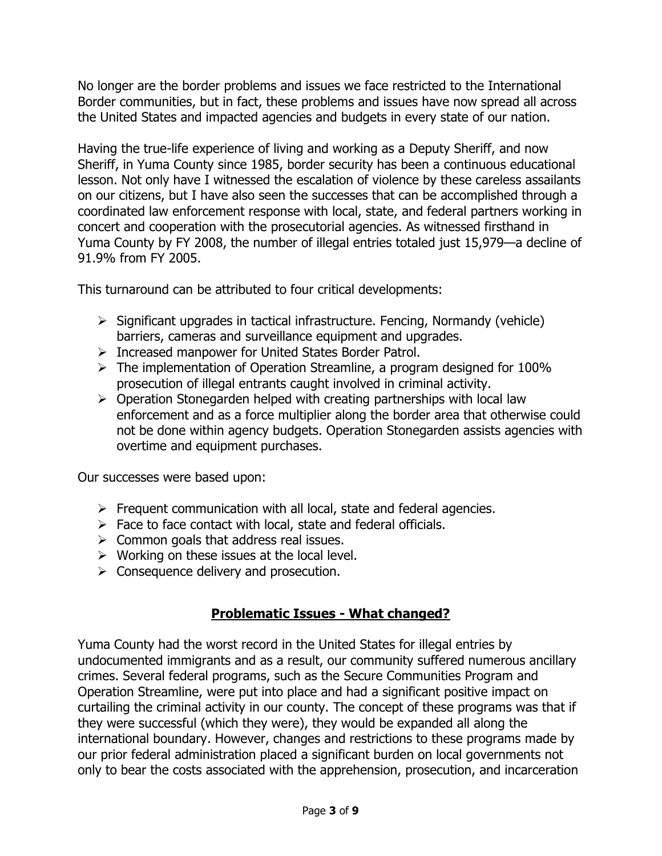No longer are the border problems and issues we face restricted to the International Border communities, but in fact, these problems and issues have now spread all across the United States and impacted agencies and budgets in every state of our nation.

Having the true-life experience of living and working as a Deputy Sheriff, and now Sheriff, in Yuma County since 1985, border security has been a continuous educational lesson. Not only have I witnessed the escalation of violence by these careless assailants on our citizens, but I have also seen the successes that can be accomplished through a coordinated law enforcement response with local, state, and federal partners working in concert and cooperation with the prosecutorial agencies. As witnessed firsthand in Yuma County by FY 2008, the number of illegal entries totaled just 15,979—a decline of 91.9% from FY 2005.

This turnaround can be attributed to four critical developments:

- $\triangleright$  Significant upgrades in tactical infrastructure. Fencing, Normandy (vehicle) barriers, cameras and surveillance equipment and upgrades.
- > Increased manpower for United States Border Patrol.
- $\triangleright$  The implementation of Operation Streamline, a program designed for 100% prosecution of illegal entrants caught involved in criminal activity.
- $\triangleright$  Operation Stonegarden helped with creating partnerships with local law enforcement and as a force multiplier along the border area that otherwise could not be done within agency budgets. Operation Stonegarden assists agencies with overtime and equipment purchases.

Our successes were based upon:

- $\triangleright$  Frequent communication with all local, state and federal agencies.
- $\triangleright$  Face to face contact with local, state and federal officials.
- $\triangleright$  Common goals that address real issues.
- $\triangleright$  Working on these issues at the local level.
- $\triangleright$  Consequence delivery and prosecution.

# Problematic Issues - What changed?

Yuma County had the worst record in the United States for illegal entries by undocumented immigrants and as a result, our community suffered numerous ancillary crimes. Several federal programs, such as the Secure Communities Program and Operation Streamline, were put into place and had a significant positive impact on curtailing the criminal activity in our county. The concept of these programs was that if they were successful (which they were), they would be expanded all along the international boundary. However, changes and restrictions to these programs made by our prior federal administration placed a significant burden on local governments not only to bear the costs associated with the apprehension, prosecution, and incarceration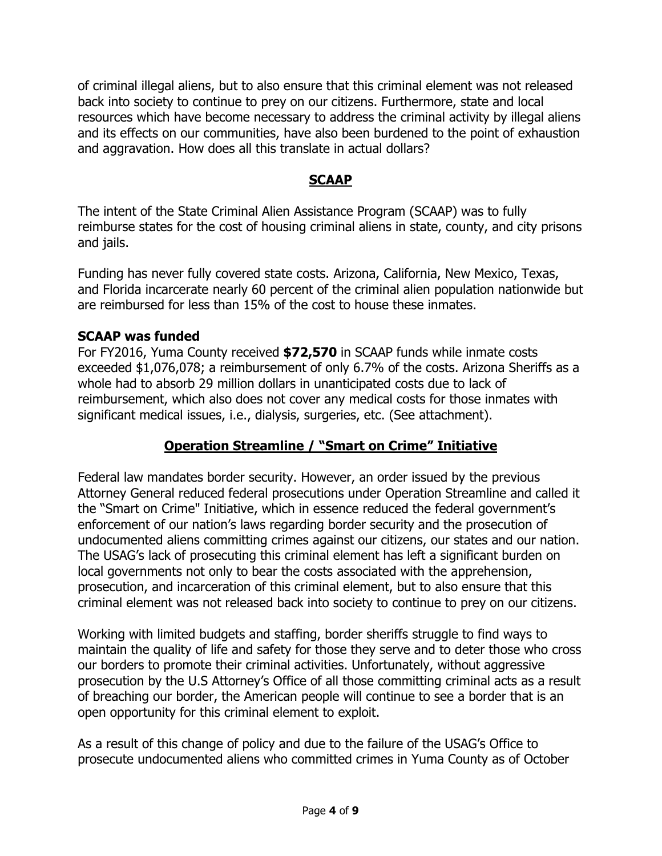of criminal illegal aliens, but to also ensure that this criminal element was not released back into society to continue to prey on our citizens. Furthermore, state and local resources which have become necessary to address the criminal activity by illegal aliens and its effects on our communities, have also been burdened to the point of exhaustion and aggravation. How does all this translate in actual dollars?

# SCAAP

The intent of the State Criminal Alien Assistance Program (SCAAP) was to fully reimburse states for the cost of housing criminal aliens in state, county, and city prisons and jails.

Funding has never fully covered state costs. Arizona, California, New Mexico, Texas, and Florida incarcerate nearly 60 percent of the criminal alien population nationwide but are reimbursed for less than 15% of the cost to house these inmates.

#### SCAAP was funded

For FY2016, Yuma County received \$72,570 in SCAAP funds while inmate costs exceeded \$1,076,078; a reimbursement of only 6.7% of the costs. Arizona Sheriffs as a whole had to absorb 29 million dollars in unanticipated costs due to lack of reimbursement, which also does not cover any medical costs for those inmates with significant medical issues, i.e., dialysis, surgeries, etc. (See attachment).

# Operation Streamline / "Smart on Crime" Initiative

Federal law mandates border security. However, an order issued by the previous Attorney General reduced federal prosecutions under Operation Streamline and called it the "Smart on Crime" Initiative, which in essence reduced the federal government's enforcement of our nation's laws regarding border security and the prosecution of undocumented aliens committing crimes against our citizens, our states and our nation. The USAG's lack of prosecuting this criminal element has left a significant burden on local governments not only to bear the costs associated with the apprehension, prosecution, and incarceration of this criminal element, but to also ensure that this criminal element was not released back into society to continue to prey on our citizens.

Working with limited budgets and staffing, border sheriffs struggle to find ways to maintain the quality of life and safety for those they serve and to deter those who cross our borders to promote their criminal activities. Unfortunately, without aggressive prosecution by the U.S Attorney's Office of all those committing criminal acts as a result of breaching our border, the American people will continue to see a border that is an open opportunity for this criminal element to exploit.

As a result of this change of policy and due to the failure of the USAG's Office to prosecute undocumented aliens who committed crimes in Yuma County as of October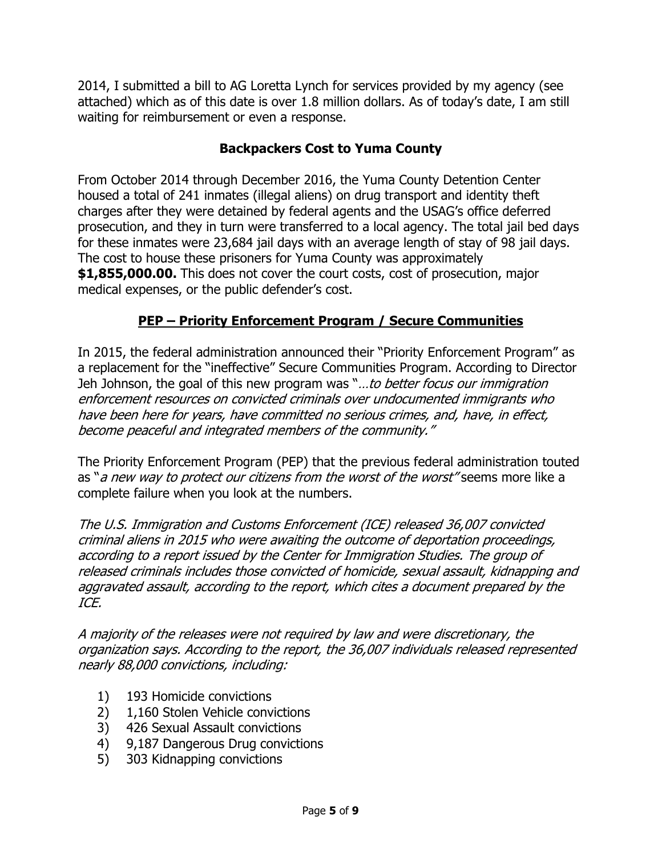2014, I submitted a bill to AG Loretta Lynch for services provided by my agency (see attached) which as of this date is over 1.8 million dollars. As of today's date, I am still waiting for reimbursement or even a response.

# Backpackers Cost to Yuma County

From October 2014 through December 2016, the Yuma County Detention Center housed a total of 241 inmates (illegal aliens) on drug transport and identity theft charges after they were detained by federal agents and the USAG's office deferred prosecution, and they in turn were transferred to a local agency. The total jail bed days for these inmates were 23,684 jail days with an average length of stay of 98 jail days. The cost to house these prisoners for Yuma County was approximately \$1,855,000.00. This does not cover the court costs, cost of prosecution, major medical expenses, or the public defender's cost.

# PEP – Priority Enforcement Program / Secure Communities

In 2015, the federal administration announced their "Priority Enforcement Program" as a replacement for the "ineffective" Secure Communities Program. According to Director Jeh Johnson, the goal of this new program was "...to better focus our immigration enforcement resources on convicted criminals over undocumented immigrants who have been here for years, have committed no serious crimes, and, have, in effect, become peaceful and integrated members of the community."

The Priority Enforcement Program (PEP) that the previous federal administration touted as "a new way to protect our citizens from the worst of the worst" seems more like a complete failure when you look at the numbers.

The U.S. Immigration and Customs Enforcement (ICE) released 36,007 convicted criminal aliens in 2015 who were awaiting the outcome of deportation proceedings, according to a report issued by the Center for Immigration Studies. The group of released criminals includes those convicted of homicide, sexual assault, kidnapping and aggravated assault, according to the report, which cites a document prepared by the ICE.

A majority of the releases were not required by law and were discretionary, the organization says. According to the report, the 36,007 individuals released represented nearly 88,000 convictions, including:

- 1) 193 Homicide convictions
- 2) 1,160 Stolen Vehicle convictions
- 3) 426 Sexual Assault convictions
- 4) 9,187 Dangerous Drug convictions
- 5) 303 Kidnapping convictions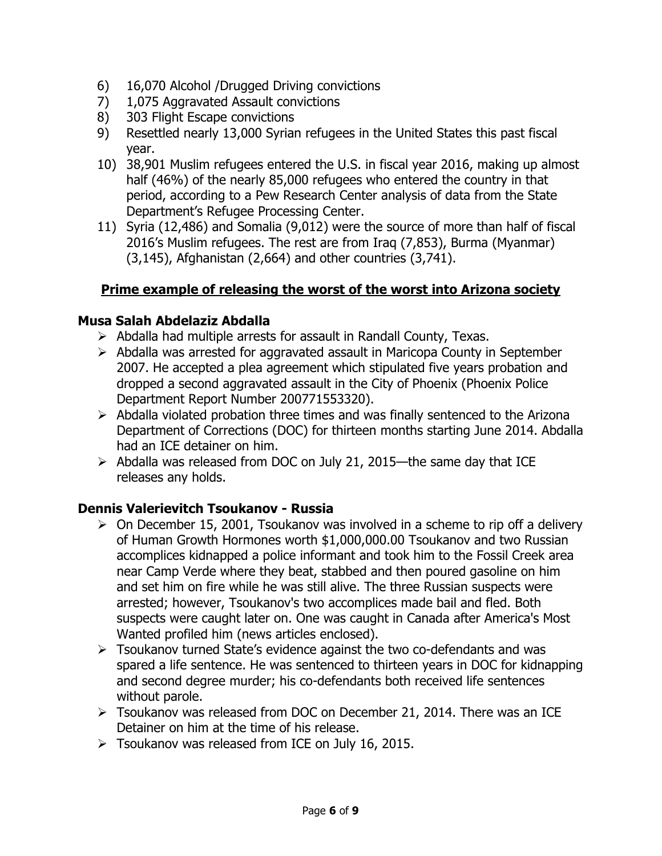- 6) 16,070 Alcohol /Drugged Driving convictions
- 7) 1,075 Aggravated Assault convictions
- 8) 303 Flight Escape convictions
- 9) Resettled nearly 13,000 Syrian refugees in the United States this past fiscal year.
- 10) 38,901 Muslim refugees entered the U.S. in fiscal year 2016, making up almost half (46%) of the nearly 85,000 refugees who entered the country in that period, according to a Pew Research Center analysis of data from the State Department's Refugee Processing Center.
- 11) Syria (12,486) and Somalia (9,012) were the source of more than half of fiscal 2016's Muslim refugees. The rest are from Iraq (7,853), Burma (Myanmar) (3,145), Afghanistan (2,664) and other countries (3,741).

# Prime example of releasing the worst of the worst into Arizona society

#### Musa Salah Abdelaziz Abdalla

- $\triangleright$  Abdalla had multiple arrests for assault in Randall County, Texas.
- $\triangleright$  Abdalla was arrested for aggravated assault in Maricopa County in September 2007. He accepted a plea agreement which stipulated five years probation and dropped a second aggravated assault in the City of Phoenix (Phoenix Police Department Report Number 200771553320).
- $\triangleright$  Abdalla violated probation three times and was finally sentenced to the Arizona Department of Corrections (DOC) for thirteen months starting June 2014. Abdalla had an ICE detainer on him.
- $\triangleright$  Abdalla was released from DOC on July 21, 2015—the same day that ICE releases any holds.

# Dennis Valerievitch Tsoukanov - Russia

- $\triangleright$  On December 15, 2001, Tsoukanov was involved in a scheme to rip off a delivery of Human Growth Hormones worth \$1,000,000.00 Tsoukanov and two Russian accomplices kidnapped a police informant and took him to the Fossil Creek area near Camp Verde where they beat, stabbed and then poured gasoline on him and set him on fire while he was still alive. The three Russian suspects were arrested; however, Tsoukanov's two accomplices made bail and fled. Both suspects were caught later on. One was caught in Canada after America's Most Wanted profiled him (news articles enclosed).
- Tsoukanov turned State's evidence against the two co-defendants and was spared a life sentence. He was sentenced to thirteen years in DOC for kidnapping and second degree murder; his co-defendants both received life sentences without parole.
- Tsoukanov was released from DOC on December 21, 2014. There was an ICE Detainer on him at the time of his release.
- $\triangleright$  Tsoukanov was released from ICE on July 16, 2015.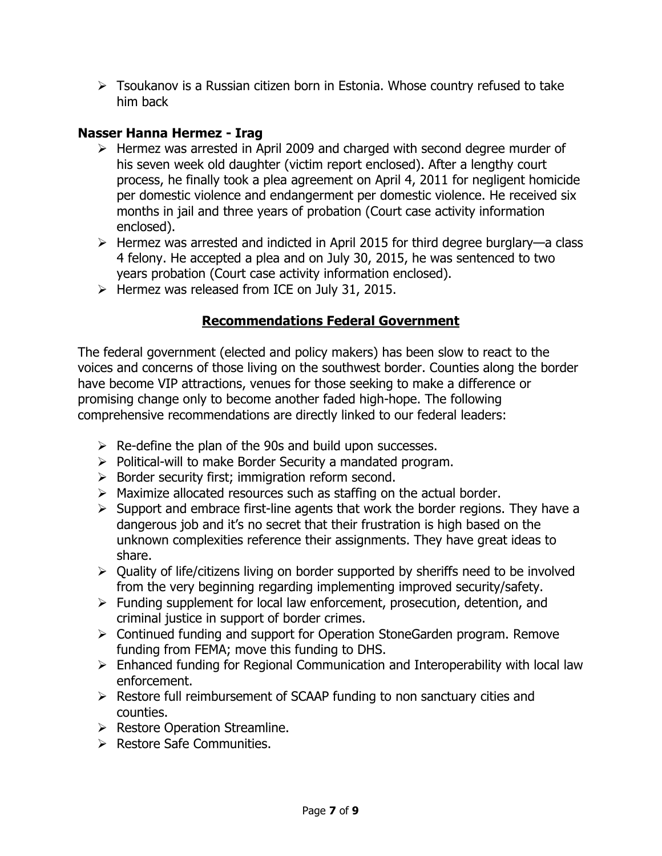$\triangleright$  Tsoukanov is a Russian citizen born in Estonia. Whose country refused to take him back

#### Nasser Hanna Hermez - Irag

- > Hermez was arrested in April 2009 and charged with second degree murder of his seven week old daughter (victim report enclosed). After a lengthy court process, he finally took a plea agreement on April 4, 2011 for negligent homicide per domestic violence and endangerment per domestic violence. He received six months in jail and three years of probation (Court case activity information enclosed).
- $\triangleright$  Hermez was arrested and indicted in April 2015 for third degree burglary—a class 4 felony. He accepted a plea and on July 30, 2015, he was sentenced to two years probation (Court case activity information enclosed).
- $\triangleright$  Hermez was released from ICE on July 31, 2015.

# Recommendations Federal Government

The federal government (elected and policy makers) has been slow to react to the voices and concerns of those living on the southwest border. Counties along the border have become VIP attractions, venues for those seeking to make a difference or promising change only to become another faded high-hope. The following comprehensive recommendations are directly linked to our federal leaders:

- $\triangleright$  Re-define the plan of the 90s and build upon successes.
- $\triangleright$  Political-will to make Border Security a mandated program.
- $\triangleright$  Border security first; immigration reform second.
- $\triangleright$  Maximize allocated resources such as staffing on the actual border.
- $\triangleright$  Support and embrace first-line agents that work the border regions. They have a dangerous job and it's no secret that their frustration is high based on the unknown complexities reference their assignments. They have great ideas to share.
- $\triangleright$  Quality of life/citizens living on border supported by sheriffs need to be involved from the very beginning regarding implementing improved security/safety.
- $\triangleright$  Funding supplement for local law enforcement, prosecution, detention, and criminal justice in support of border crimes.
- Continued funding and support for Operation StoneGarden program. Remove funding from FEMA; move this funding to DHS.
- Enhanced funding for Regional Communication and Interoperability with local law enforcement.
- $\triangleright$  Restore full reimbursement of SCAAP funding to non sanctuary cities and counties.
- $\triangleright$  Restore Operation Streamline.
- $\triangleright$  Restore Safe Communities.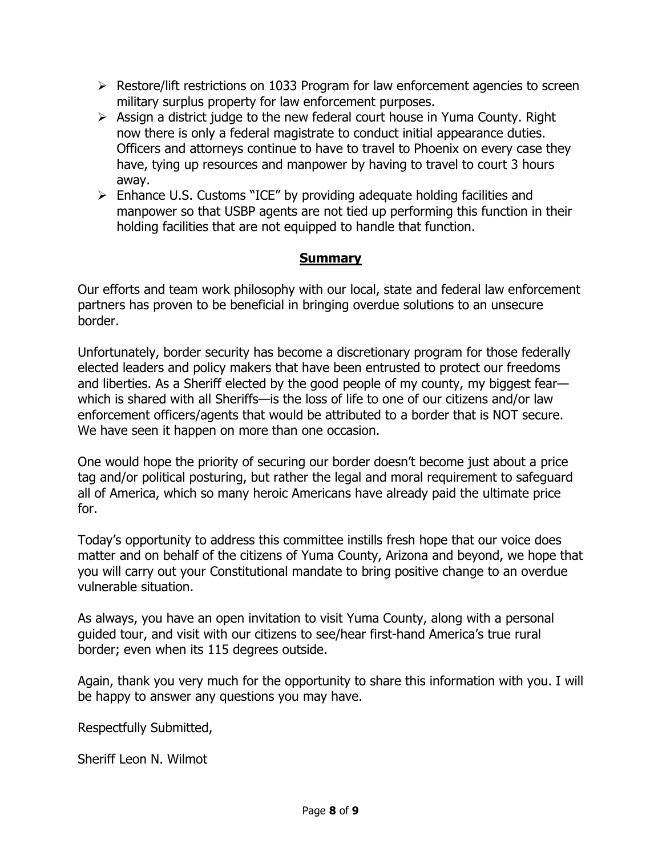- $\triangleright$  Restore/lift restrictions on 1033 Program for law enforcement agencies to screen military surplus property for law enforcement purposes.
- $\triangleright$  Assign a district judge to the new federal court house in Yuma County. Right now there is only a federal magistrate to conduct initial appearance duties. Officers and attorneys continue to have to travel to Phoenix on every case they have, tying up resources and manpower by having to travel to court 3 hours away.
- $\triangleright$  Enhance U.S. Customs "ICE" by providing adequate holding facilities and manpower so that USBP agents are not tied up performing this function in their holding facilities that are not equipped to handle that function.

#### **Summary**

Our efforts and team work philosophy with our local, state and federal law enforcement partners has proven to be beneficial in bringing overdue solutions to an unsecure border.

Unfortunately, border security has become a discretionary program for those federally elected leaders and policy makers that have been entrusted to protect our freedoms and liberties. As a Sheriff elected by the good people of my county, my biggest fear which is shared with all Sheriffs—is the loss of life to one of our citizens and/or law enforcement officers/agents that would be attributed to a border that is NOT secure. We have seen it happen on more than one occasion.

One would hope the priority of securing our border doesn't become just about a price tag and/or political posturing, but rather the legal and moral requirement to safeguard all of America, which so many heroic Americans have already paid the ultimate price for.

Today's opportunity to address this committee instills fresh hope that our voice does matter and on behalf of the citizens of Yuma County, Arizona and beyond, we hope that you will carry out your Constitutional mandate to bring positive change to an overdue vulnerable situation.

As always, you have an open invitation to visit Yuma County, along with a personal guided tour, and visit with our citizens to see/hear first-hand America's true rural border; even when its 115 degrees outside.

Again, thank you very much for the opportunity to share this information with you. I will be happy to answer any questions you may have.

Respectfully Submitted,

Sheriff Leon N. Wilmot